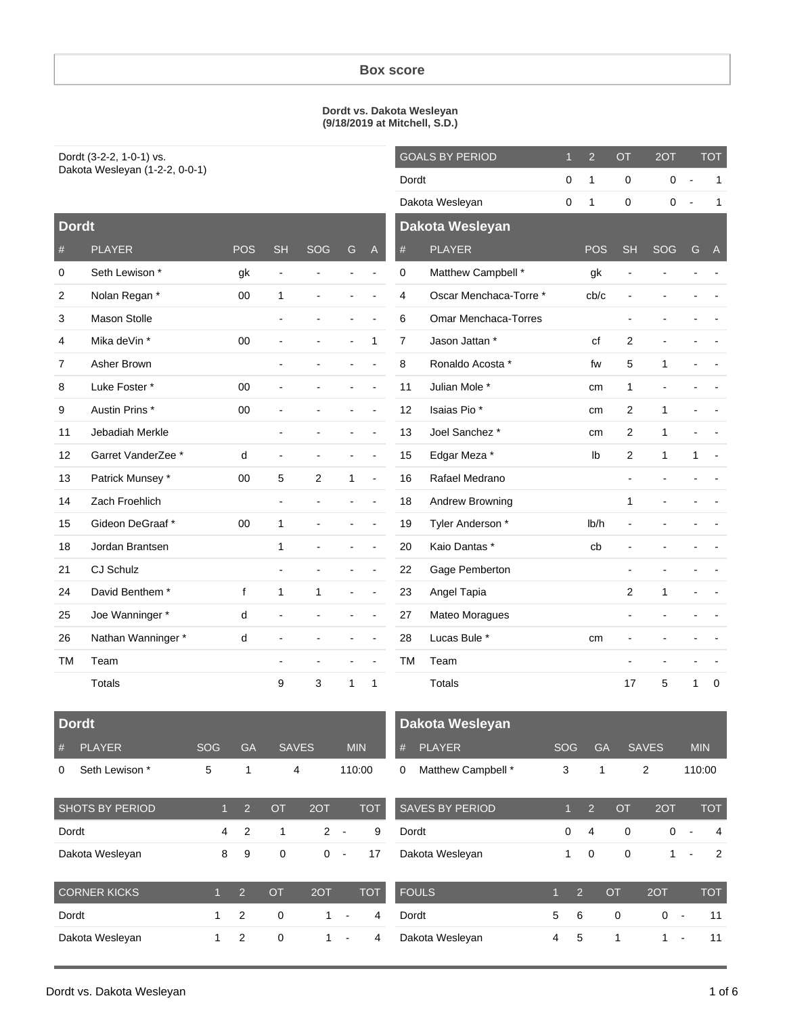#### **Box score**

#### **Dordt vs. Dakota Wesleyan (9/18/2019 at Mitchell, S.D.)**

Dordt (3-2-2, 1-0-1) vs. Dakota Wesleyan (1-2-2, 0-0-1)

**Dordt**

|   |           | <b>GOALS BY PERIOD</b> | $\overline{1}$ | $\overline{2}$ | <b>OT</b>      | 2OT            |                              | <b>TOT</b> |
|---|-----------|------------------------|----------------|----------------|----------------|----------------|------------------------------|------------|
|   | Dordt     |                        | 0              | 1              | 0              | 0              |                              | 1          |
|   |           | Dakota Wesleyan        | 0              | 1              | 0              | 0              |                              | 1          |
|   |           | Dakota Wesleyan        |                |                |                |                |                              |            |
| A | #         | <b>PLAYER</b>          |                | <b>POS</b>     | <b>SH</b>      | SOG            | G                            | A          |
|   | 0         | Matthew Campbell *     |                | gk             |                |                | $\qquad \qquad \blacksquare$ |            |
|   | 4         | Oscar Menchaca-Torre * |                | cb/c           | $\blacksquare$ |                | ÷                            |            |
|   | 6         | Omar Menchaca-Torres   |                |                |                |                |                              |            |
| 1 | 7         | Jason Jattan *         |                | cf             | 2              |                |                              |            |
|   | 8         | Ronaldo Acosta *       |                | fw             | 5              | 1              |                              |            |
|   | 11        | Julian Mole *          |                | cm             | 1              | $\overline{a}$ |                              |            |
|   | 12        | Isaias Pio*            |                | cm             | 2              | 1              | -                            |            |
|   | 13        | Joel Sanchez *         |                | cm             | $\overline{2}$ | 1              | -                            |            |
|   | 15        | Edgar Meza *           |                | lb             | $\overline{2}$ | 1              | 1                            |            |
|   | 16        | Rafael Medrano         |                |                |                |                |                              |            |
|   | 18        | Andrew Browning        |                |                | 1              |                |                              |            |
|   | 19        | Tyler Anderson *       |                | Ib/h           |                |                |                              |            |
|   | 20        | Kaio Dantas *          |                | cb             |                |                |                              |            |
|   | 22        | Gage Pemberton         |                |                | $\overline{a}$ | $\overline{a}$ | $\overline{a}$               |            |
|   | 23        | Angel Tapia            |                |                | 2              | 1              |                              |            |
|   | 27        | Mateo Moragues         |                |                | $\blacksquare$ |                |                              |            |
|   | 28        | Lucas Bule *           |                | cm             |                |                |                              |            |
|   | <b>TM</b> | Team                   |                |                |                |                | $\overline{a}$               |            |
| 1 |           | <b>Totals</b>          |                |                | 17             | 5              | 1                            | 0          |

| υσται                   |                            |              |                              |                          |    |   |
|-------------------------|----------------------------|--------------|------------------------------|--------------------------|----|---|
| #                       | <b>PLAYER</b>              | <b>POS</b>   | <b>SH</b>                    | SOG                      | G  | A |
| 0                       | Seth Lewison *             | gk           | $\qquad \qquad \blacksquare$ | $\overline{a}$           |    |   |
| 2                       | Nolan Regan *              | 00           | 1                            |                          |    |   |
| 3                       | <b>Mason Stolle</b>        |              | $\overline{a}$               |                          |    |   |
| $\overline{\mathbf{4}}$ | Mika deVin *               | 00           |                              |                          |    | 1 |
| 7                       | Asher Brown                |              |                              | $\overline{a}$           | Ĭ. |   |
| 8                       | Luke Foster *              | 00           | Ĭ.                           |                          |    |   |
| 9                       | Austin Prins *             | 00           |                              |                          |    |   |
| 11                      | Jebadiah Merkle            |              |                              |                          |    |   |
| 12                      | Garret VanderZee *         | d            | -                            | $\overline{\phantom{0}}$ |    |   |
| 13                      | Patrick Munsey *           | 00           | 5                            | $\overline{2}$           | 1  |   |
| 14                      | Zach Froehlich             |              | $\overline{a}$               | $\overline{\phantom{0}}$ |    |   |
| 15                      | Gideon DeGraaf*            | 00           | 1                            |                          |    |   |
| 18                      | Jordan Brantsen            |              | 1                            |                          |    |   |
| 21                      | <b>CJ Schulz</b>           |              | $\qquad \qquad \blacksquare$ |                          |    |   |
| 24                      | David Benthem <sup>*</sup> | $\mathsf{f}$ | 1                            | 1                        |    |   |
| 25                      | Joe Wanninger *            | d            |                              |                          |    |   |
| 26                      | Nathan Wanninger*          | d            | -                            | $\overline{a}$           | Ĭ. |   |
| <b>TM</b>               | Team                       |              |                              | -                        |    |   |
|                         | <b>Totals</b>              |              | 9                            | 3                        | 1  | 1 |

|          | Dordt          |      |           |              |            |
|----------|----------------|------|-----------|--------------|------------|
| #        | PLAYER         | SOG. | <b>GA</b> | <b>SAVES</b> | <b>MIN</b> |
| $\Omega$ | Seth Lewison * | 5    |           | 4            | 110:00     |

| <b>SHOTS BY PERIOD</b> | 1            | $\overline{2}$ | <b>OT</b> | 2OT | тот        |
|------------------------|--------------|----------------|-----------|-----|------------|
| Dordt                  | 4            | 2              | 1         | 2   | 9          |
| Dakota Wesleyan        | 8            | 9              | 0         | O   | 17         |
| <b>CORNER KICKS</b>    | $\mathbf{1}$ | $\overline{2}$ | <b>OT</b> | 2OT | <b>TOT</b> |
| Dordt                  | 1            | 2              | 0         | 1   | 4          |
| Dakota Wesleyan        | 1            | 2              | 0         | 1   |            |

|   | Dakota Wesleyan    |     |          |            |
|---|--------------------|-----|----------|------------|
|   | # PLAYER           | SOG | GA SAVES | <b>MIN</b> |
| 0 | Matthew Campbell * | 3   | 2        | 110:00     |

| <b>SAVES BY PERIOD</b> |          | $1 \quad 2$ | $\circ$ OT | 2OT |                | <b>TOT</b>    |
|------------------------|----------|-------------|------------|-----|----------------|---------------|
| Dordt                  | $\Omega$ | -4          | 0          | 0   | $\blacksquare$ |               |
| Dakota Wesleyan        | 1        | 0           | 0          |     |                | $\mathcal{P}$ |
|                        |          |             |            |     |                |               |

| <b>FOULS</b>    |    | $\mathcal{P}$ | OT       | 2OT |                          | TOT. |
|-----------------|----|---------------|----------|-----|--------------------------|------|
| Dordt           | 5. | 6             | $\Omega$ | 0   | $\overline{\phantom{a}}$ |      |
| Dakota Wesleyan |    | 5             |          |     | $\overline{\phantom{a}}$ |      |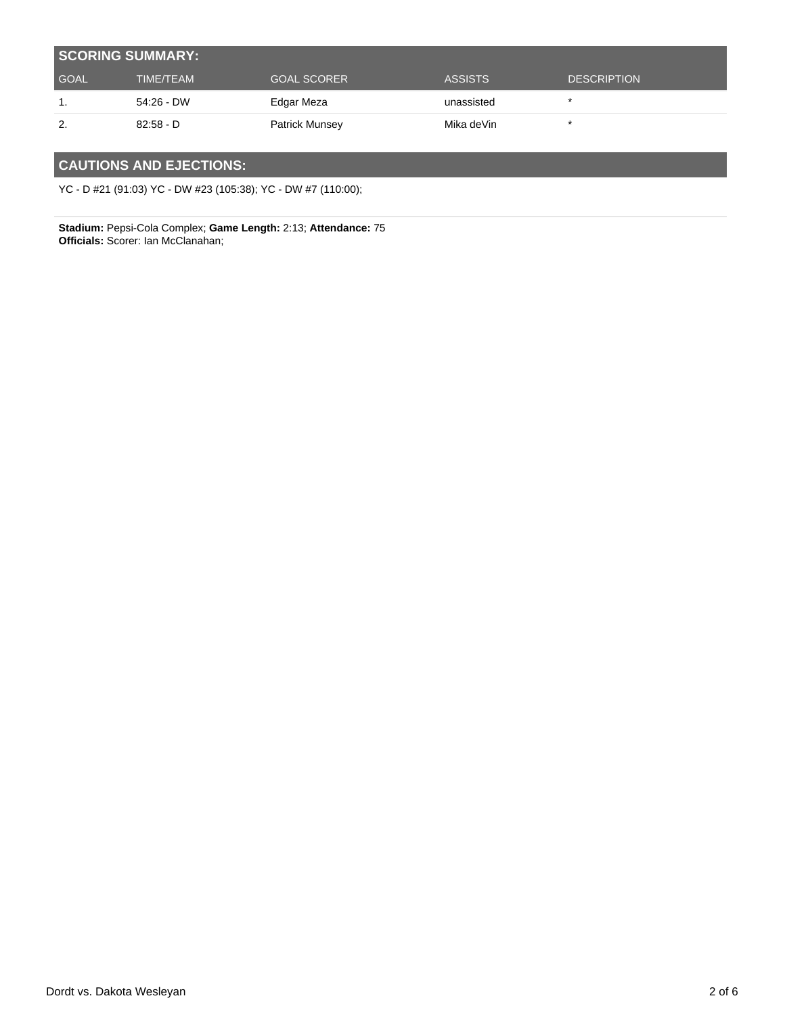| <b>SCORING SUMMARY:</b> |                  |                       |                |                    |  |  |
|-------------------------|------------------|-----------------------|----------------|--------------------|--|--|
| <b>GOAL</b>             | <b>TIME/TEAM</b> | <b>GOAL SCORER</b>    | <b>ASSISTS</b> | <b>DESCRIPTION</b> |  |  |
|                         | 54:26 - DW       | Edgar Meza            | unassisted     |                    |  |  |
| 2.                      | $82:58 - D$      | <b>Patrick Munsey</b> | Mika deVin     |                    |  |  |

### **CAUTIONS AND EJECTIONS:**

YC - D #21 (91:03) YC - DW #23 (105:38); YC - DW #7 (110:00);

**Stadium:** Pepsi-Cola Complex; **Game Length:** 2:13; **Attendance:** 75 **Officials:** Scorer: Ian McClanahan;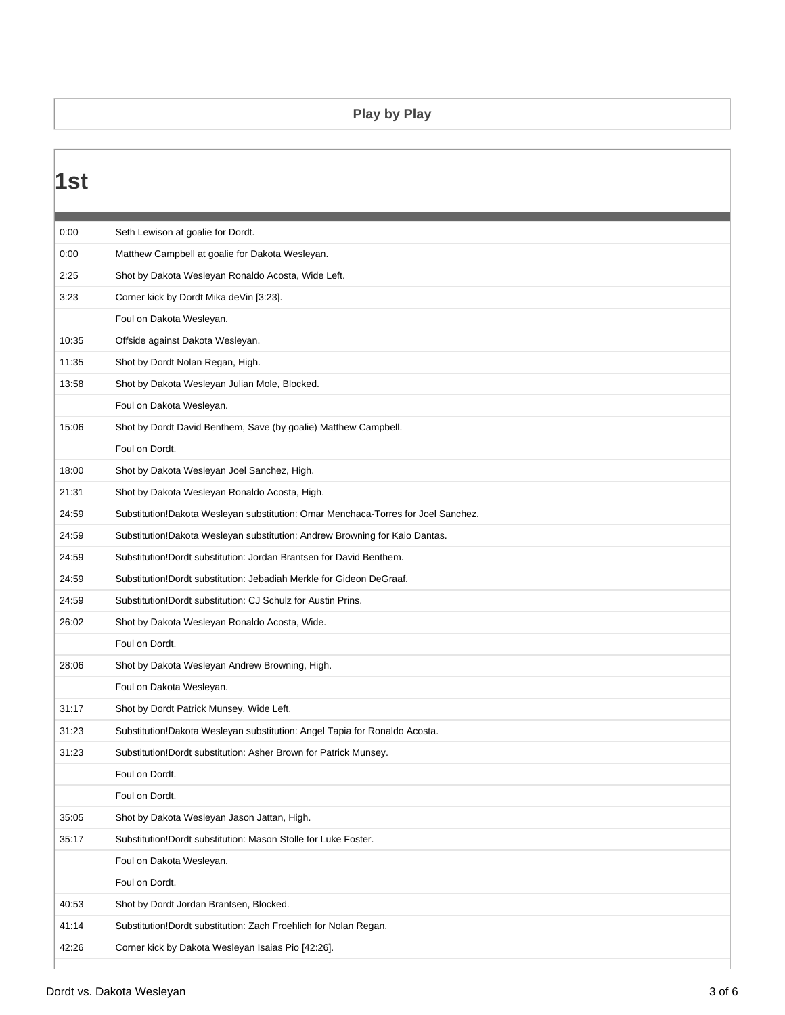#### **Play by Play**

### **1st** 0:00 Seth Lewison at goalie for Dordt. 0:00 Matthew Campbell at goalie for Dakota Wesleyan. 2:25 Shot by Dakota Wesleyan Ronaldo Acosta, Wide Left. 3:23 Corner kick by Dordt Mika deVin [3:23]. Foul on Dakota Wesleyan. 10:35 Offside against Dakota Wesleyan. 11:35 Shot by Dordt Nolan Regan, High. 13:58 Shot by Dakota Wesleyan Julian Mole, Blocked. Foul on Dakota Wesleyan. 15:06 Shot by Dordt David Benthem, Save (by goalie) Matthew Campbell. Foul on Dordt. 18:00 Shot by Dakota Wesleyan Joel Sanchez, High. 21:31 Shot by Dakota Wesleyan Ronaldo Acosta, High. 24:59 Substitution!Dakota Wesleyan substitution: Omar Menchaca-Torres for Joel Sanchez. 24:59 Substitution!Dakota Wesleyan substitution: Andrew Browning for Kaio Dantas. 24:59 Substitution!Dordt substitution: Jordan Brantsen for David Benthem. 24:59 Substitution!Dordt substitution: Jebadiah Merkle for Gideon DeGraaf. 24:59 Substitution!Dordt substitution: CJ Schulz for Austin Prins. 26:02 Shot by Dakota Wesleyan Ronaldo Acosta, Wide. Foul on Dordt. 28:06 Shot by Dakota Wesleyan Andrew Browning, High. Foul on Dakota Wesleyan. 31:17 Shot by Dordt Patrick Munsey, Wide Left. 31:23 Substitution!Dakota Wesleyan substitution: Angel Tapia for Ronaldo Acosta. 31:23 Substitution!Dordt substitution: Asher Brown for Patrick Munsey. Foul on Dordt. Foul on Dordt. 35:05 Shot by Dakota Wesleyan Jason Jattan, High. 35:17 Substitution!Dordt substitution: Mason Stolle for Luke Foster. Foul on Dakota Wesleyan. Foul on Dordt. 40:53 Shot by Dordt Jordan Brantsen, Blocked. 41:14 Substitution!Dordt substitution: Zach Froehlich for Nolan Regan. 42:26 Corner kick by Dakota Wesleyan Isaias Pio [42:26].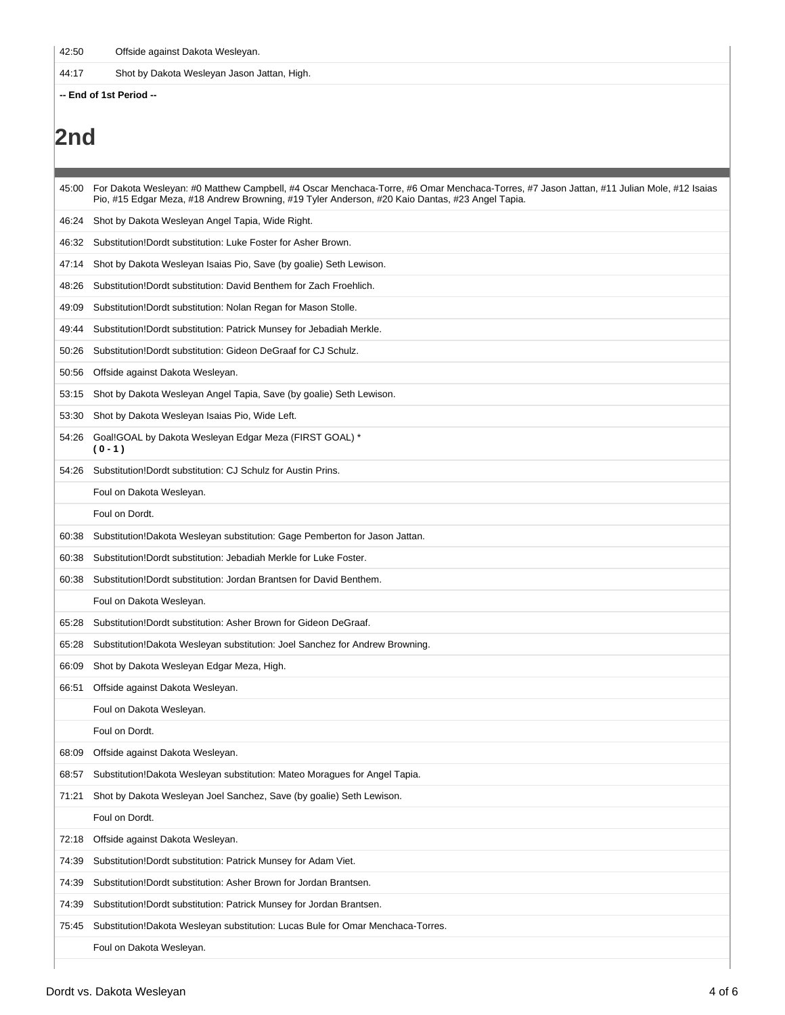42:50 Offside against Dakota Wesleyan.

44:17 Shot by Dakota Wesleyan Jason Jattan, High.

**-- End of 1st Period --**

# **2nd**

| 45:00 | For Dakota Wesleyan: #0 Matthew Campbell, #4 Oscar Menchaca-Torre, #6 Omar Menchaca-Torres, #7 Jason Jattan, #11 Julian Mole, #12 Isaias<br>Pio, #15 Edgar Meza, #18 Andrew Browning, #19 Tyler Anderson, #20 Kaio Dantas, #23 Angel Tapia. |
|-------|---------------------------------------------------------------------------------------------------------------------------------------------------------------------------------------------------------------------------------------------|
| 46:24 | Shot by Dakota Wesleyan Angel Tapia, Wide Right.                                                                                                                                                                                            |
| 46:32 | Substitution!Dordt substitution: Luke Foster for Asher Brown.                                                                                                                                                                               |
| 47:14 | Shot by Dakota Wesleyan Isaias Pio, Save (by goalie) Seth Lewison.                                                                                                                                                                          |
| 48:26 | Substitution!Dordt substitution: David Benthem for Zach Froehlich.                                                                                                                                                                          |
| 49:09 | Substitution!Dordt substitution: Nolan Regan for Mason Stolle.                                                                                                                                                                              |
| 49:44 | Substitution! Dordt substitution: Patrick Munsey for Jebadiah Merkle.                                                                                                                                                                       |
| 50:26 | Substitution!Dordt substitution: Gideon DeGraaf for CJ Schulz.                                                                                                                                                                              |
| 50:56 | Offside against Dakota Wesleyan.                                                                                                                                                                                                            |
| 53:15 | Shot by Dakota Wesleyan Angel Tapia, Save (by goalie) Seth Lewison.                                                                                                                                                                         |
| 53:30 | Shot by Dakota Wesleyan Isaias Pio, Wide Left.                                                                                                                                                                                              |
| 54:26 | Goal!GOAL by Dakota Wesleyan Edgar Meza (FIRST GOAL) *<br>$(0 - 1)$                                                                                                                                                                         |
| 54:26 | Substitution!Dordt substitution: CJ Schulz for Austin Prins.                                                                                                                                                                                |
|       | Foul on Dakota Wesleyan.                                                                                                                                                                                                                    |
|       | Foul on Dordt.                                                                                                                                                                                                                              |
| 60:38 | Substitution!Dakota Wesleyan substitution: Gage Pemberton for Jason Jattan.                                                                                                                                                                 |
| 60:38 | Substitution!Dordt substitution: Jebadiah Merkle for Luke Foster.                                                                                                                                                                           |
| 60:38 | Substitution!Dordt substitution: Jordan Brantsen for David Benthem.                                                                                                                                                                         |
|       | Foul on Dakota Wesleyan.                                                                                                                                                                                                                    |
| 65:28 | Substitution!Dordt substitution: Asher Brown for Gideon DeGraaf.                                                                                                                                                                            |
| 65:28 | Substitution!Dakota Wesleyan substitution: Joel Sanchez for Andrew Browning.                                                                                                                                                                |
| 66:09 | Shot by Dakota Wesleyan Edgar Meza, High.                                                                                                                                                                                                   |
| 66:51 | Offside against Dakota Wesleyan.                                                                                                                                                                                                            |
|       | Foul on Dakota Wesleyan.                                                                                                                                                                                                                    |
|       | Foul on Dordt.                                                                                                                                                                                                                              |
| 68:09 | Offside against Dakota Wesleyan.                                                                                                                                                                                                            |
| 68:57 | Substitution!Dakota Wesleyan substitution: Mateo Moragues for Angel Tapia.                                                                                                                                                                  |
| 71:21 | Shot by Dakota Wesleyan Joel Sanchez, Save (by goalie) Seth Lewison.                                                                                                                                                                        |
|       | Foul on Dordt.                                                                                                                                                                                                                              |
| 72:18 | Offside against Dakota Wesleyan.                                                                                                                                                                                                            |
| 74:39 | Substitution!Dordt substitution: Patrick Munsey for Adam Viet.                                                                                                                                                                              |
| 74:39 | Substitution!Dordt substitution: Asher Brown for Jordan Brantsen.                                                                                                                                                                           |
| 74:39 | Substitution!Dordt substitution: Patrick Munsey for Jordan Brantsen.                                                                                                                                                                        |
| 75:45 | Substitution!Dakota Wesleyan substitution: Lucas Bule for Omar Menchaca-Torres.                                                                                                                                                             |
|       | Foul on Dakota Wesleyan.                                                                                                                                                                                                                    |
|       |                                                                                                                                                                                                                                             |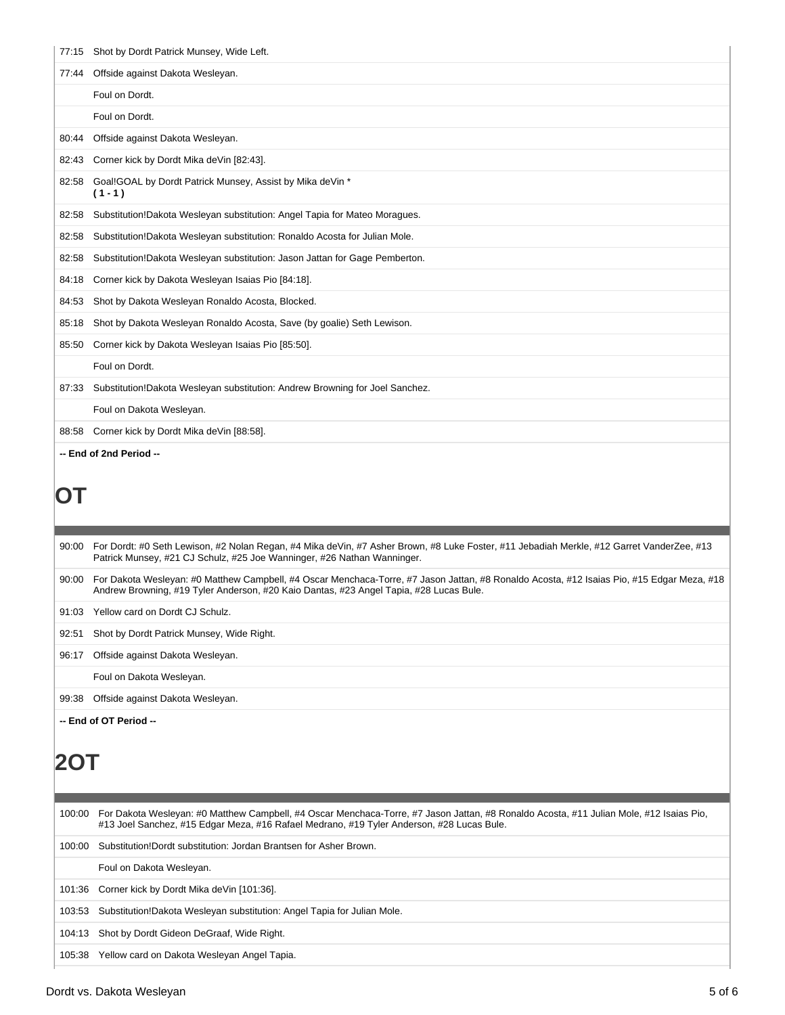| 77:15 | Shot by Dordt Patrick Munsey, Wide Left.                                                                                                                                                                                             |
|-------|--------------------------------------------------------------------------------------------------------------------------------------------------------------------------------------------------------------------------------------|
| 77:44 | Offside against Dakota Wesleyan.                                                                                                                                                                                                     |
|       | Foul on Dordt.                                                                                                                                                                                                                       |
|       | Foul on Dordt.                                                                                                                                                                                                                       |
| 80:44 | Offside against Dakota Wesleyan.                                                                                                                                                                                                     |
| 82:43 | Corner kick by Dordt Mika deVin [82:43].                                                                                                                                                                                             |
| 82:58 | Goal!GOAL by Dordt Patrick Munsey, Assist by Mika deVin *<br>$(1 - 1)$                                                                                                                                                               |
| 82:58 | Substitution!Dakota Wesleyan substitution: Angel Tapia for Mateo Moragues.                                                                                                                                                           |
| 82:58 | Substitution!Dakota Wesleyan substitution: Ronaldo Acosta for Julian Mole.                                                                                                                                                           |
| 82:58 | Substitution!Dakota Wesleyan substitution: Jason Jattan for Gage Pemberton.                                                                                                                                                          |
| 84:18 | Corner kick by Dakota Wesleyan Isaias Pio [84:18].                                                                                                                                                                                   |
| 84:53 | Shot by Dakota Wesleyan Ronaldo Acosta, Blocked.                                                                                                                                                                                     |
| 85:18 | Shot by Dakota Wesleyan Ronaldo Acosta, Save (by goalie) Seth Lewison.                                                                                                                                                               |
| 85:50 | Corner kick by Dakota Wesleyan Isaias Pio [85:50].                                                                                                                                                                                   |
|       | Foul on Dordt.                                                                                                                                                                                                                       |
| 87:33 | Substitution!Dakota Wesleyan substitution: Andrew Browning for Joel Sanchez.                                                                                                                                                         |
|       | Foul on Dakota Wesleyan.                                                                                                                                                                                                             |
| 88:58 | Corner kick by Dordt Mika deVin [88:58].                                                                                                                                                                                             |
|       | -- End of 2nd Period --                                                                                                                                                                                                              |
| U l   |                                                                                                                                                                                                                                      |
| 90:00 | For Dordt: #0 Seth Lewison, #2 Nolan Regan, #4 Mika deVin, #7 Asher Brown, #8 Luke Foster, #11 Jebadiah Merkle, #12 Garret VanderZee, #13<br>Patrick Munsey, #21 CJ Schulz, #25 Joe Wanninger, #26 Nathan Wanninger.                 |
| 90:00 | For Dakota Wesleyan: #0 Matthew Campbell, #4 Oscar Menchaca-Torre, #7 Jason Jattan, #8 Ronaldo Acosta, #12 Isaias Pio, #15 Edgar Meza, #18<br>Andrew Browning, #19 Tyler Anderson, #20 Kaio Dantas, #23 Angel Tapia, #28 Lucas Bule. |

91:03 Yellow card on Dordt CJ Schulz.

92:51 Shot by Dordt Patrick Munsey, Wide Right.

96:17 Offside against Dakota Wesleyan.

Foul on Dakota Wesleyan.

99:38 Offside against Dakota Wesleyan.

**-- End of OT Period --**

## **2OT**

| 100:00 | For Dakota Wesleyan: #0 Matthew Campbell, #4 Oscar Menchaca-Torre, #7 Jason Jattan, #8 Ronaldo Acosta, #11 Julian Mole, #12 Isaias Pio,<br>#13 Joel Sanchez, #15 Edgar Meza, #16 Rafael Medrano, #19 Tyler Anderson, #28 Lucas Bule. |
|--------|--------------------------------------------------------------------------------------------------------------------------------------------------------------------------------------------------------------------------------------|
| 100:00 | Substitution!Dordt substitution: Jordan Brantsen for Asher Brown.                                                                                                                                                                    |
|        | Foul on Dakota Weslevan.                                                                                                                                                                                                             |
|        | 101:36 Corner kick by Dordt Mika de Vin [101:36].                                                                                                                                                                                    |
| 103:53 | Substitution!Dakota Wesleyan substitution: Angel Tapia for Julian Mole.                                                                                                                                                              |
| 104:13 | Shot by Dordt Gideon DeGraaf, Wide Right.                                                                                                                                                                                            |
| 105:38 | Yellow card on Dakota Wesleyan Angel Tapia.                                                                                                                                                                                          |
|        |                                                                                                                                                                                                                                      |